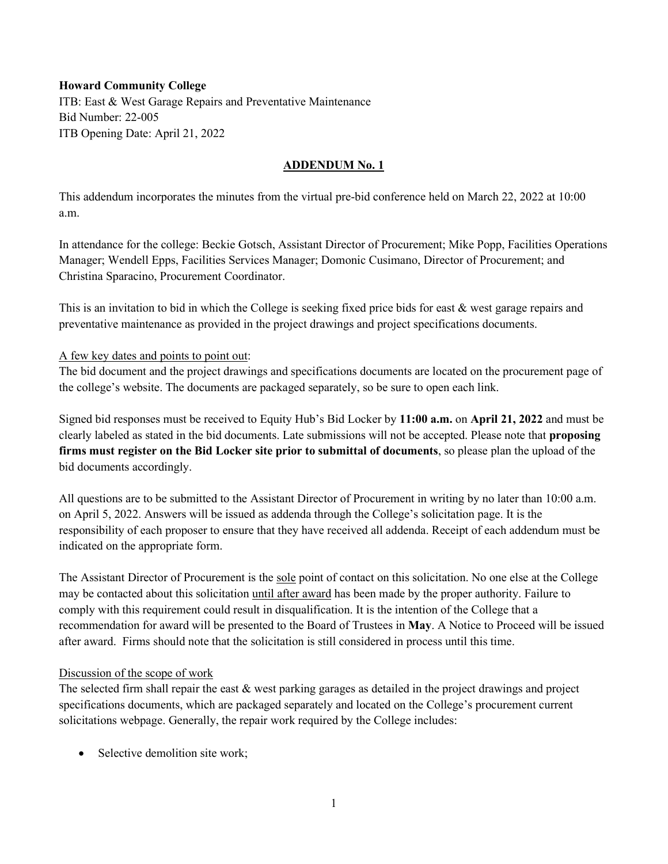#### **Howard Community College**

ITB: East & West Garage Repairs and Preventative Maintenance Bid Number: 22-005 ITB Opening Date: April 21, 2022

## **ADDENDUM No. 1**

This addendum incorporates the minutes from the virtual pre-bid conference held on March 22, 2022 at 10:00 a.m.

In attendance for the college: Beckie Gotsch, Assistant Director of Procurement; Mike Popp, Facilities Operations Manager; Wendell Epps, Facilities Services Manager; Domonic Cusimano, Director of Procurement; and Christina Sparacino, Procurement Coordinator.

This is an invitation to bid in which the College is seeking fixed price bids for east & west garage repairs and preventative maintenance as provided in the project drawings and project specifications documents.

#### A few key dates and points to point out:

The bid document and the project drawings and specifications documents are located on the procurement page of the college's website. The documents are packaged separately, so be sure to open each link.

Signed bid responses must be received to Equity Hub's Bid Locker by **11:00 a.m.** on **April 21, 2022** and must be clearly labeled as stated in the bid documents. Late submissions will not be accepted. Please note that **proposing firms must register on the Bid Locker site prior to submittal of documents**, so please plan the upload of the bid documents accordingly.

All questions are to be submitted to the Assistant Director of Procurement in writing by no later than 10:00 a.m. on April 5, 2022. Answers will be issued as addenda through the College's solicitation page. It is the responsibility of each proposer to ensure that they have received all addenda. Receipt of each addendum must be indicated on the appropriate form.

The Assistant Director of Procurement is the sole point of contact on this solicitation. No one else at the College may be contacted about this solicitation until after award has been made by the proper authority. Failure to comply with this requirement could result in disqualification. It is the intention of the College that a recommendation for award will be presented to the Board of Trustees in **May**. A Notice to Proceed will be issued after award. Firms should note that the solicitation is still considered in process until this time.

#### Discussion of the scope of work

The selected firm shall repair the east & west parking garages as detailed in the project drawings and project specifications documents, which are packaged separately and located on the College's procurement current solicitations webpage. Generally, the repair work required by the College includes:

• Selective demolition site work: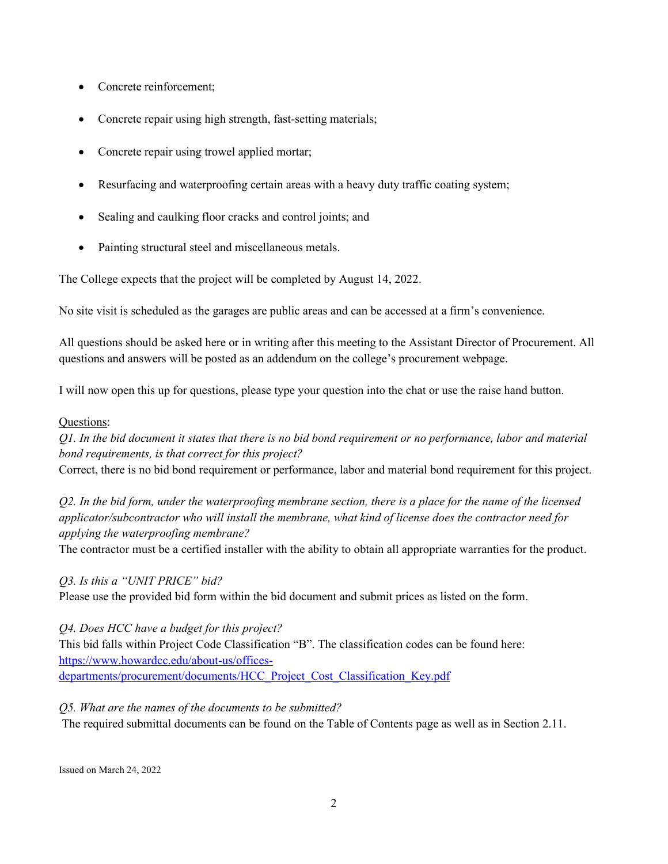- Concrete reinforcement;
- Concrete repair using high strength, fast-setting materials;
- Concrete repair using trowel applied mortar;
- Resurfacing and waterproofing certain areas with a heavy duty traffic coating system;
- Sealing and caulking floor cracks and control joints; and
- Painting structural steel and miscellaneous metals.

The College expects that the project will be completed by August 14, 2022.

No site visit is scheduled as the garages are public areas and can be accessed at a firm's convenience.

All questions should be asked here or in writing after this meeting to the Assistant Director of Procurement. All questions and answers will be posted as an addendum on the college's procurement webpage.

I will now open this up for questions, please type your question into the chat or use the raise hand button.

## Questions:

*Q1. In the bid document it states that there is no bid bond requirement or no performance, labor and material bond requirements, is that correct for this project?* 

Correct, there is no bid bond requirement or performance, labor and material bond requirement for this project.

*Q2. In the bid form, under the waterproofing membrane section, there is a place for the name of the licensed applicator/subcontractor who will install the membrane, what kind of license does the contractor need for applying the waterproofing membrane?*

The contractor must be a certified installer with the ability to obtain all appropriate warranties for the product.

# *Q3. Is this a "UNIT PRICE" bid?*

Please use the provided bid form within the bid document and submit prices as listed on the form.

*Q4. Does HCC have a budget for this project?*

This bid falls within Project Code Classification "B". The classification codes can be found here: [https://www.howardcc.edu/about-us/offices](https://www.howardcc.edu/about-us/offices-departments/procurement/documents/HCC_Project_Cost_Classification_Key.pdf)[departments/procurement/documents/HCC\\_Project\\_Cost\\_Classification\\_Key.pdf](https://www.howardcc.edu/about-us/offices-departments/procurement/documents/HCC_Project_Cost_Classification_Key.pdf)

## *Q5. What are the names of the documents to be submitted?*

The required submittal documents can be found on the Table of Contents page as well as in Section 2.11.

Issued on March 24, 2022